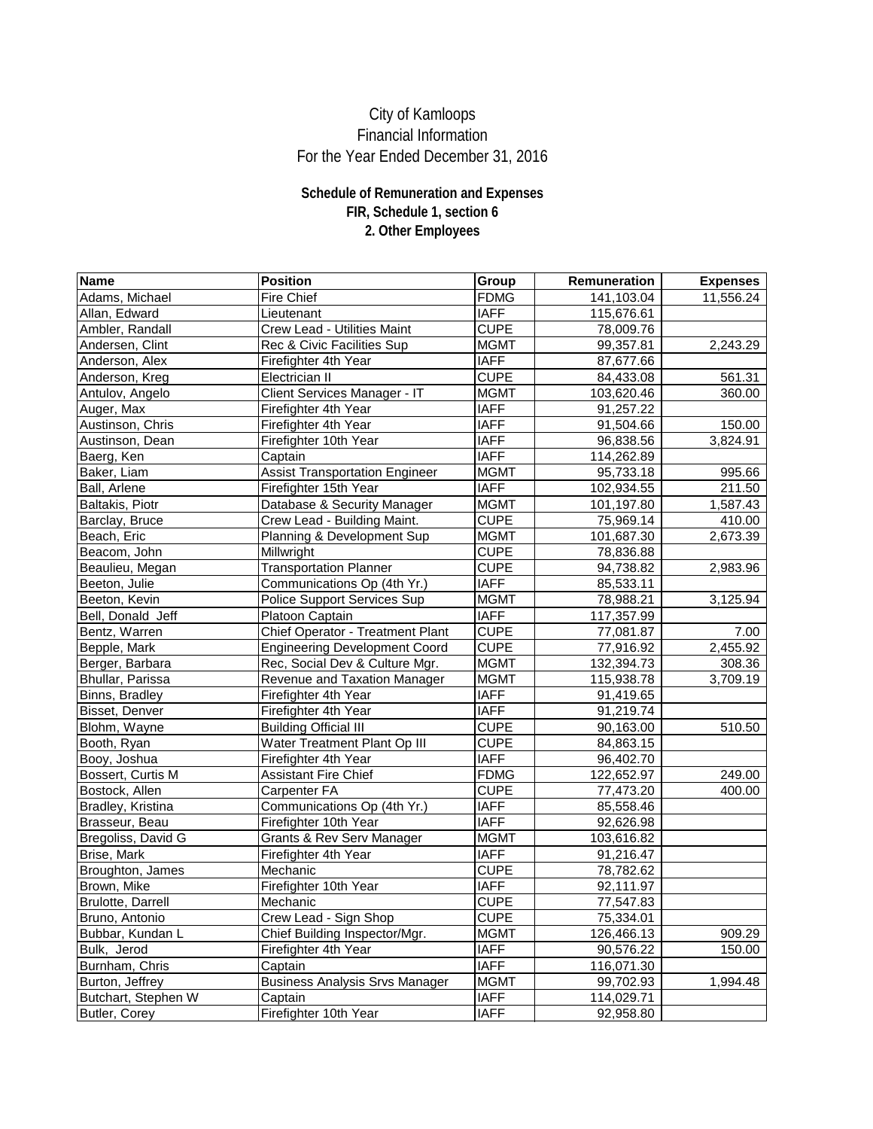| <b>Name</b>              | <b>Position</b>                         | Group       | <b>Remuneration</b> | <b>Expenses</b> |
|--------------------------|-----------------------------------------|-------------|---------------------|-----------------|
| Adams, Michael           | <b>Fire Chief</b>                       | <b>FDMG</b> | 141,103.04          | 11,556.24       |
| Allan, Edward            | Lieutenant                              | <b>IAFF</b> | 115,676.61          |                 |
| Ambler, Randall          | <b>Crew Lead - Utilities Maint</b>      | <b>CUPE</b> | 78,009.76           |                 |
| Andersen, Clint          | Rec & Civic Facilities Sup              | <b>MGMT</b> | 99,357.81           | 2,243.29        |
| Anderson, Alex           | Firefighter 4th Year                    | <b>IAFF</b> | 87,677.66           |                 |
| Anderson, Kreg           | Electrician II                          | <b>CUPE</b> | 84,433.08           | 561.31          |
| Antulov, Angelo          | <b>Client Services Manager - IT</b>     | <b>MGMT</b> | 103,620.46          | 360.00          |
| Auger, Max               | Firefighter 4th Year                    | <b>IAFF</b> | 91,257.22           |                 |
| Austinson, Chris         | Firefighter 4th Year                    | <b>IAFF</b> | 91,504.66           | 150.00          |
| Austinson, Dean          | Firefighter 10th Year                   | <b>IAFF</b> | 96,838.56           | 3,824.91        |
| Baerg, Ken               | Captain                                 | <b>IAFF</b> | 114,262.89          |                 |
| Baker, Liam              | <b>Assist Transportation Engineer</b>   | <b>MGMT</b> | 95,733.18           | 995.66          |
| Ball, Arlene             | Firefighter 15th Year                   | <b>IAFF</b> | 102,934.55          | 211.50          |
| Baltakis, Piotr          | Database & Security Manager             | <b>MGMT</b> | 101,197.80          | 1,587.43        |
| Barclay, Bruce           | Crew Lead - Building Maint.             | <b>CUPE</b> | 75,969.14           | 410.00          |
| Beach, Eric              | Planning & Development Sup              | <b>MGMT</b> | 101,687.30          | 2,673.39        |
| Beacom, John             | Millwright                              | <b>CUPE</b> | 78,836.88           |                 |
| Beaulieu, Megan          | <b>Transportation Planner</b>           | <b>CUPE</b> | 94,738.82           | 2,983.96        |
| Beeton, Julie            | Communications Op (4th Yr.)             | <b>IAFF</b> | 85,533.11           |                 |
| Beeton, Kevin            | <b>Police Support Services Sup</b>      | <b>MGMT</b> | 78,988.21           | 3,125.94        |
| Bell, Donald Jeff        | Platoon Captain                         | <b>IAFF</b> | 117,357.99          |                 |
| Bentz, Warren            | <b>Chief Operator - Treatment Plant</b> | <b>CUPE</b> | 77,081.87           | 7.00            |
| Bepple, Mark             | <b>Engineering Development Coord</b>    | <b>CUPE</b> | 77,916.92           | 2,455.92        |
| Berger, Barbara          | Rec, Social Dev & Culture Mgr.          | <b>MGMT</b> | 132,394.73          | 308.36          |
| Bhullar, Parissa         | Revenue and Taxation Manager            | <b>MGMT</b> | 115,938.78          | 3,709.19        |
| Binns, Bradley           | Firefighter 4th Year                    | <b>IAFF</b> | 91,419.65           |                 |
| Bisset, Denver           | Firefighter 4th Year                    | <b>IAFF</b> | 91,219.74           |                 |
| Blohm, Wayne             | <b>Building Official III</b>            | <b>CUPE</b> | 90,163.00           | 510.50          |
| Booth, Ryan              | Water Treatment Plant Op III            | <b>CUPE</b> | 84,863.15           |                 |
| Booy, Joshua             | Firefighter 4th Year                    | <b>IAFF</b> | 96,402.70           |                 |
| Bossert, Curtis M        | <b>Assistant Fire Chief</b>             | <b>FDMG</b> | 122,652.97          | 249.00          |
| Bostock, Allen           | Carpenter FA                            | <b>CUPE</b> | 77,473.20           | 400.00          |
| Bradley, Kristina        | Communications Op (4th Yr.)             | <b>IAFF</b> | 85,558.46           |                 |
| Brasseur, Beau           | Firefighter 10th Year                   | <b>IAFF</b> | 92,626.98           |                 |
| Bregoliss, David G       | <b>Grants &amp; Rev Serv Manager</b>    | <b>MGMT</b> | 103,616.82          |                 |
| Brise, Mark              | Firefighter 4th Year                    | <b>IAFF</b> | 91,216.47           |                 |
| Broughton, James         | Mechanic                                | <b>CUPE</b> | 78,782.62           |                 |
| Brown, Mike              | Firefighter 10th Year                   | <b>IAFF</b> | 92,111.97           |                 |
| <b>Brulotte, Darrell</b> | Mechanic                                | <b>CUPE</b> | 77,547.83           |                 |
| Bruno, Antonio           | Crew Lead - Sign Shop                   | <b>CUPE</b> | 75,334.01           |                 |
| Bubbar, Kundan L         | Chief Building Inspector/Mgr.           | <b>MGMT</b> | 126,466.13          | 909.29          |
| Bulk, Jerod              | Firefighter 4th Year                    | <b>IAFF</b> | 90,576.22           | 150.00          |
| Burnham, Chris           | Captain                                 | <b>IAFF</b> | 116,071.30          |                 |
| Burton, Jeffrey          | <b>Business Analysis Srvs Manager</b>   | <b>MGMT</b> | 99,702.93           | 1,994.48        |
| Butchart, Stephen W      | Captain                                 | <b>IAFF</b> | 114,029.71          |                 |
| Butler, Corey            | Firefighter 10th Year                   | <b>IAFF</b> | 92,958.80           |                 |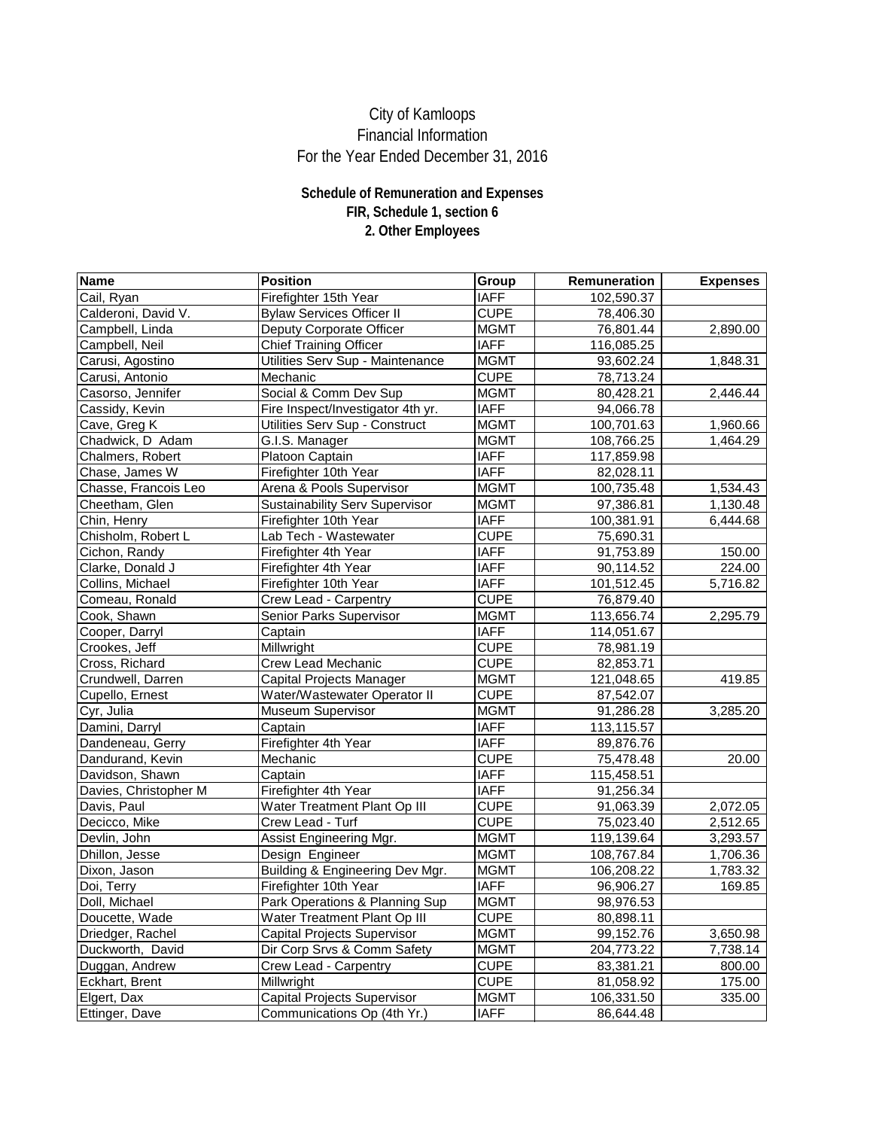| Name                  | <b>Position</b>                       | Group       | <b>Remuneration</b> | <b>Expenses</b> |
|-----------------------|---------------------------------------|-------------|---------------------|-----------------|
| Cail, Ryan            | Firefighter 15th Year                 | <b>IAFF</b> | 102,590.37          |                 |
| Calderoni, David V.   | <b>Bylaw Services Officer II</b>      | <b>CUPE</b> | 78,406.30           |                 |
| Campbell, Linda       | Deputy Corporate Officer              | <b>MGMT</b> | 76,801.44           | 2,890.00        |
| Campbell, Neil        | <b>Chief Training Officer</b>         | <b>IAFF</b> | 116,085.25          |                 |
| Carusi, Agostino      | Utilities Serv Sup - Maintenance      | <b>MGMT</b> | 93,602.24           | 1,848.31        |
| Carusi, Antonio       | Mechanic                              | <b>CUPE</b> | 78,713.24           |                 |
| Casorso, Jennifer     | Social & Comm Dev Sup                 | <b>MGMT</b> | 80,428.21           | 2,446.44        |
| Cassidy, Kevin        | Fire Inspect/Investigator 4th yr.     | <b>IAFF</b> | 94,066.78           |                 |
| Cave, Greg K          | <b>Utilities Serv Sup - Construct</b> | <b>MGMT</b> | 100,701.63          | 1,960.66        |
| Chadwick, D Adam      | G.I.S. Manager                        | <b>MGMT</b> | 108,766.25          | 1,464.29        |
| Chalmers, Robert      | Platoon Captain                       | <b>IAFF</b> | 117,859.98          |                 |
| Chase, James W        | Firefighter 10th Year                 | <b>IAFF</b> | 82,028.11           |                 |
| Chasse, Francois Leo  | Arena & Pools Supervisor              | <b>MGMT</b> | 100,735.48          | 1,534.43        |
| Cheetham, Glen        | <b>Sustainability Serv Supervisor</b> | <b>MGMT</b> | 97,386.81           | 1,130.48        |
| Chin, Henry           | Firefighter 10th Year                 | <b>IAFF</b> | 100,381.91          | 6,444.68        |
| Chisholm, Robert L    | Lab Tech - Wastewater                 | <b>CUPE</b> | 75,690.31           |                 |
| Cichon, Randy         | Firefighter 4th Year                  | <b>IAFF</b> | 91,753.89           | 150.00          |
| Clarke, Donald J      | Firefighter 4th Year                  | <b>IAFF</b> | 90,114.52           | 224.00          |
| Collins, Michael      | Firefighter 10th Year                 | <b>IAFF</b> | 101,512.45          | 5,716.82        |
| Comeau, Ronald        | <b>Crew Lead - Carpentry</b>          | <b>CUPE</b> | 76,879.40           |                 |
| Cook, Shawn           | <b>Senior Parks Supervisor</b>        | <b>MGMT</b> | 113,656.74          | 2,295.79        |
| Cooper, Darryl        | Captain                               | <b>IAFF</b> | 114,051.67          |                 |
| Crookes, Jeff         | Millwright                            | <b>CUPE</b> | 78,981.19           |                 |
| Cross, Richard        | <b>Crew Lead Mechanic</b>             | <b>CUPE</b> | 82,853.71           |                 |
| Crundwell, Darren     | Capital Projects Manager              | <b>MGMT</b> | 121,048.65          | 419.85          |
| Cupello, Ernest       | Water/Wastewater Operator II          | <b>CUPE</b> | 87,542.07           |                 |
| Cyr, Julia            | <b>Museum Supervisor</b>              | <b>MGMT</b> | 91,286.28           | 3,285.20        |
| Damini, Darryl        | Captain                               | <b>IAFF</b> | 113,115.57          |                 |
| Dandeneau, Gerry      | Firefighter 4th Year                  | <b>IAFF</b> | 89,876.76           |                 |
| Dandurand, Kevin      | Mechanic                              | <b>CUPE</b> | 75,478.48           | 20.00           |
| Davidson, Shawn       | Captain                               | <b>IAFF</b> | 115,458.51          |                 |
| Davies, Christopher M | Firefighter 4th Year                  | <b>IAFF</b> | 91,256.34           |                 |
| Davis, Paul           | <b>Water Treatment Plant Op III</b>   | <b>CUPE</b> | 91,063.39           | 2,072.05        |
| Decicco, Mike         | Crew Lead - Turf                      | <b>CUPE</b> | 75,023.40           | 2,512.65        |
| Devlin, John          | <b>Assist Engineering Mgr.</b>        | <b>MGMT</b> | 119,139.64          | 3,293.57        |
| Dhillon, Jesse        | Design Engineer                       | <b>MGMT</b> | 108,767.84          | 1,706.36        |
| Dixon, Jason          | Building & Engineering Dev Mgr.       | <b>MGMT</b> | 106,208.22          | 1,783.32        |
| Doi, Terry            | Firefighter 10th Year                 | <b>IAFF</b> | 96,906.27           | 169.85          |
| Doll, Michael         | Park Operations & Planning Sup        | <b>MGMT</b> | 98,976.53           |                 |
| Doucette, Wade        | <b>Water Treatment Plant Op III</b>   | <b>CUPE</b> | 80,898.11           |                 |
| Driedger, Rachel      | <b>Capital Projects Supervisor</b>    | <b>MGMT</b> | 99,152.76           | 3,650.98        |
| Duckworth, David      | Dir Corp Srvs & Comm Safety           | <b>MGMT</b> | 204,773.22          | 7,738.14        |
| Duggan, Andrew        | <b>Crew Lead - Carpentry</b>          | <b>CUPE</b> | 83,381.21           | 800.00          |
| Eckhart, Brent        | Millwright                            | <b>CUPE</b> | 81,058.92           | 175.00          |
| Elgert, Dax           | <b>Capital Projects Supervisor</b>    | <b>MGMT</b> | 106,331.50          | 335.00          |
| Ettinger, Dave        | Communications Op (4th Yr.)           | <b>IAFF</b> | 86,644.48           |                 |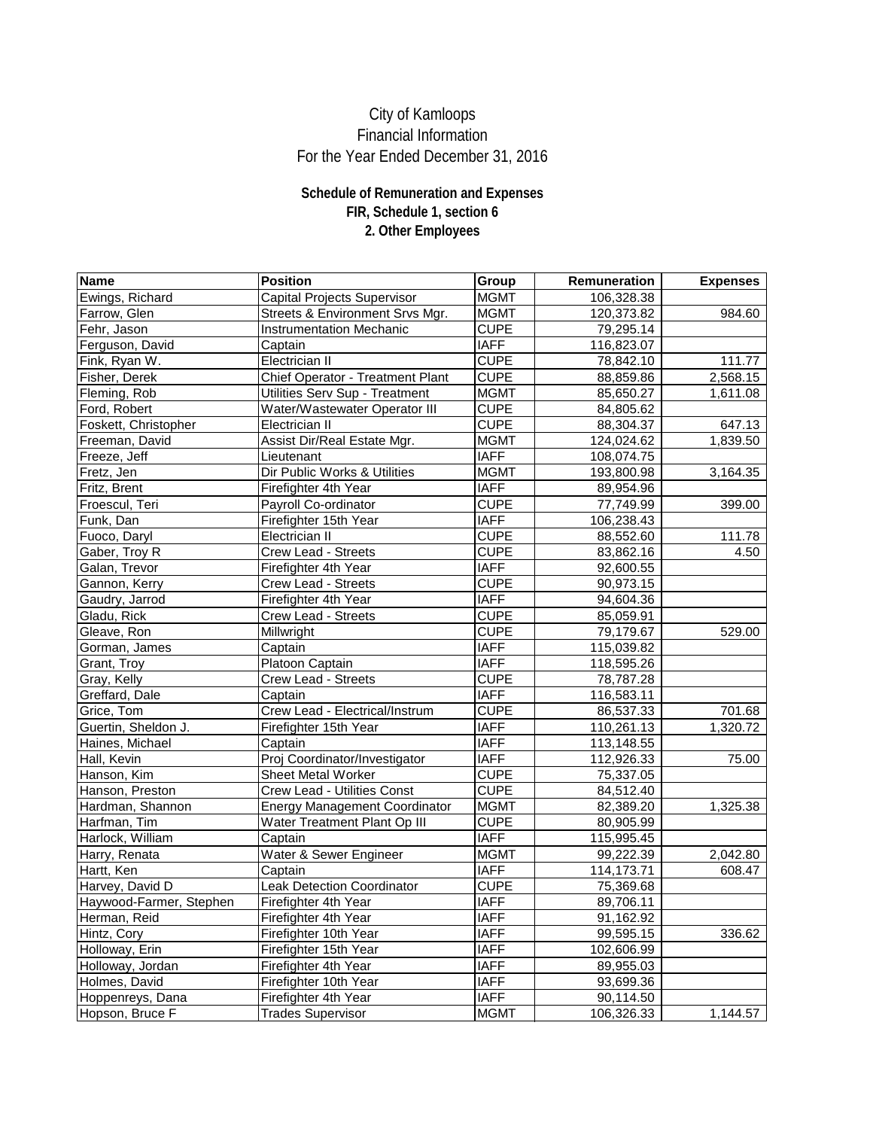| <b>Name</b>             | <b>Position</b>                         | Group       | <b>Remuneration</b> | <b>Expenses</b> |
|-------------------------|-----------------------------------------|-------------|---------------------|-----------------|
| Ewings, Richard         | <b>Capital Projects Supervisor</b>      | <b>MGMT</b> | 106,328.38          |                 |
| Farrow, Glen            | Streets & Environment Srvs Mgr.         | <b>MGMT</b> | 120,373.82          | 984.60          |
| Fehr, Jason             | <b>Instrumentation Mechanic</b>         | <b>CUPE</b> | 79,295.14           |                 |
| Ferguson, David         | Captain                                 | <b>IAFF</b> | 116,823.07          |                 |
| Fink, Ryan W.           | <b>Electrician II</b>                   | <b>CUPE</b> | 78,842.10           | 111.77          |
| Fisher, Derek           | <b>Chief Operator - Treatment Plant</b> | <b>CUPE</b> | 88,859.86           | 2,568.15        |
| Fleming, Rob            | <b>Utilities Serv Sup - Treatment</b>   | <b>MGMT</b> | 85,650.27           | 1,611.08        |
| Ford, Robert            | <b>Water/Wastewater Operator III</b>    | <b>CUPE</b> | 84,805.62           |                 |
| Foskett, Christopher    | <b>Electrician II</b>                   | <b>CUPE</b> | 88,304.37           | 647.13          |
| Freeman, David          | Assist Dir/Real Estate Mgr.             | <b>MGMT</b> | 124,024.62          | 1,839.50        |
| Freeze, Jeff            | Lieutenant                              | <b>IAFF</b> | 108,074.75          |                 |
| Fretz, Jen              | Dir Public Works & Utilities            | <b>MGMT</b> | 193,800.98          | 3,164.35        |
| Fritz, Brent            | Firefighter 4th Year                    | <b>IAFF</b> | 89,954.96           |                 |
| Froescul, Teri          | Payroll Co-ordinator                    | <b>CUPE</b> | 77,749.99           | 399.00          |
| Funk, Dan               | Firefighter 15th Year                   | <b>IAFF</b> | 106,238.43          |                 |
| Fuoco, Daryl            | Electrician II                          | <b>CUPE</b> | 88,552.60           | 111.78          |
| Gaber, Troy R           | <b>Crew Lead - Streets</b>              | <b>CUPE</b> | 83,862.16           | 4.50            |
| Galan, Trevor           | Firefighter 4th Year                    | <b>IAFF</b> | 92,600.55           |                 |
| Gannon, Kerry           | <b>Crew Lead - Streets</b>              | <b>CUPE</b> | 90,973.15           |                 |
| Gaudry, Jarrod          | Firefighter 4th Year                    | <b>IAFF</b> | 94,604.36           |                 |
| Gladu, Rick             | <b>Crew Lead - Streets</b>              | <b>CUPE</b> | 85,059.91           |                 |
| Gleave, Ron             | Millwright                              | <b>CUPE</b> | 79,179.67           | 529.00          |
| Gorman, James           | Captain                                 | <b>IAFF</b> | 115,039.82          |                 |
| Grant, Troy             | Platoon Captain                         | <b>IAFF</b> | 118,595.26          |                 |
| Gray, Kelly             | <b>Crew Lead - Streets</b>              | <b>CUPE</b> | 78,787.28           |                 |
| Greffard, Dale          | Captain                                 | <b>IAFF</b> | 116,583.11          |                 |
| Grice, Tom              | Crew Lead - Electrical/Instrum          | <b>CUPE</b> | 86,537.33           | 701.68          |
| Guertin, Sheldon J.     | Firefighter 15th Year                   | <b>IAFF</b> | 110,261.13          | 1,320.72        |
| Haines, Michael         | Captain                                 | <b>IAFF</b> | 113,148.55          |                 |
| Hall, Kevin             | Proj Coordinator/Investigator           | <b>IAFF</b> | 112,926.33          | 75.00           |
| Hanson, Kim             | <b>Sheet Metal Worker</b>               | <b>CUPE</b> | 75,337.05           |                 |
| Hanson, Preston         | <b>Crew Lead - Utilities Const</b>      | <b>CUPE</b> | 84,512.40           |                 |
| Hardman, Shannon        | <b>Energy Management Coordinator</b>    | <b>MGMT</b> | 82,389.20           | 1,325.38        |
| Harfman, Tim            | Water Treatment Plant Op III            | <b>CUPE</b> | 80,905.99           |                 |
| Harlock, William        | Captain                                 | <b>IAFF</b> | 115,995.45          |                 |
| Harry, Renata           | Water & Sewer Engineer                  | <b>MGMT</b> | 99,222.39           | 2,042.80        |
| Hartt, Ken              | Captain                                 | <b>IAFF</b> | 114,173.71          | 608.47          |
| Harvey, David D         | <b>Leak Detection Coordinator</b>       | <b>CUPE</b> | 75,369.68           |                 |
| Haywood-Farmer, Stephen | Firefighter 4th Year                    | <b>IAFF</b> | 89,706.11           |                 |
| Herman, Reid            | Firefighter 4th Year                    | <b>IAFF</b> | 91,162.92           |                 |
| Hintz, Cory             | Firefighter 10th Year                   | <b>IAFF</b> | 99,595.15           | 336.62          |
| Holloway, Erin          | Firefighter 15th Year                   | <b>IAFF</b> | 102,606.99          |                 |
| Holloway, Jordan        | Firefighter 4th Year                    | <b>IAFF</b> | 89,955.03           |                 |
| Holmes, David           | Firefighter 10th Year                   | <b>IAFF</b> | 93,699.36           |                 |
| Hoppenreys, Dana        | Firefighter 4th Year                    | <b>IAFF</b> | 90,114.50           |                 |
| Hopson, Bruce F         | <b>Trades Supervisor</b>                | <b>MGMT</b> | 106,326.33          | 1,144.57        |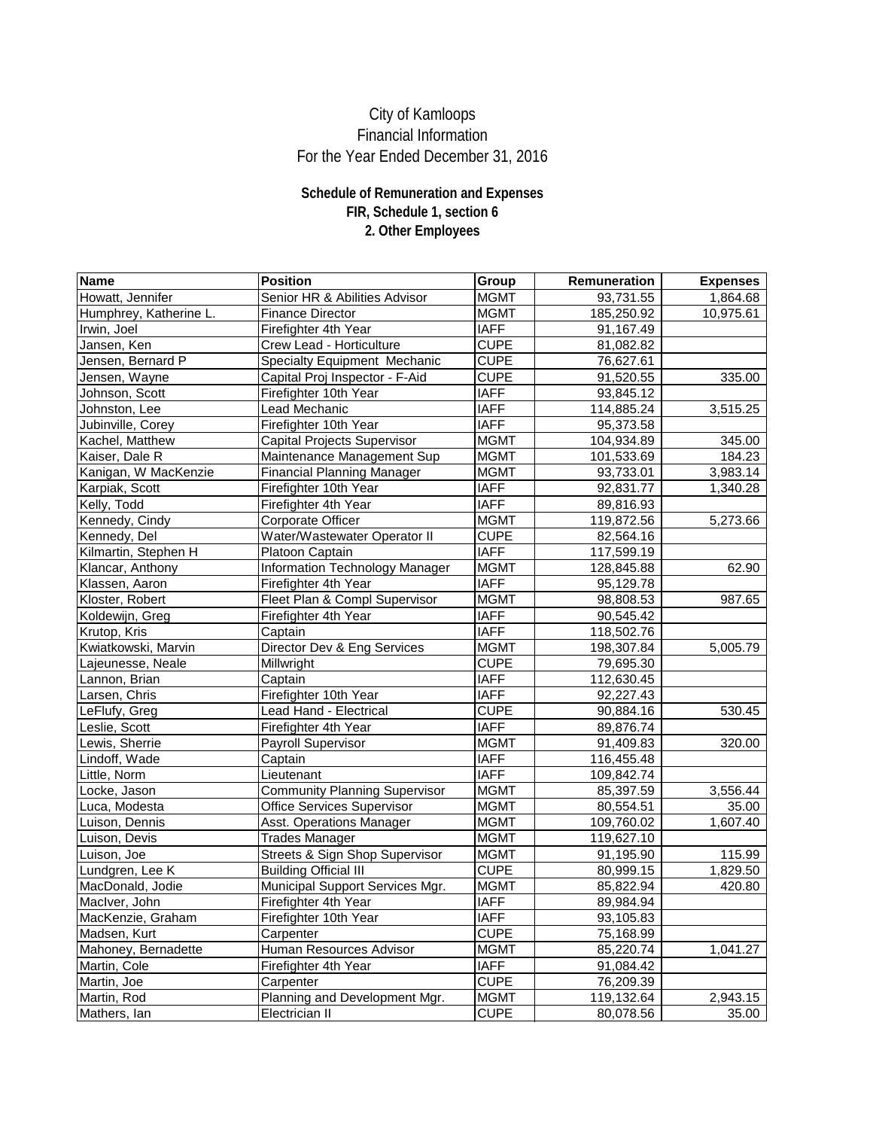| <b>Name</b>            | <b>Position</b>                           | <b>Group</b> | Remuneration | <b>Expenses</b> |
|------------------------|-------------------------------------------|--------------|--------------|-----------------|
| Howatt, Jennifer       | Senior HR & Abilities Advisor             | <b>MGMT</b>  | 93,731.55    | 1,864.68        |
| Humphrey, Katherine L. | <b>Finance Director</b>                   | <b>MGMT</b>  | 185,250.92   | 10,975.61       |
| Irwin, Joel            | Firefighter 4th Year                      | <b>IAFF</b>  | 91,167.49    |                 |
| Jansen, Ken            | <b>Crew Lead - Horticulture</b>           | <b>CUPE</b>  | 81,082.82    |                 |
| Jensen, Bernard P      | <b>Specialty Equipment Mechanic</b>       | <b>CUPE</b>  | 76,627.61    |                 |
| Jensen, Wayne          | Capital Proj Inspector - F-Aid            | <b>CUPE</b>  | 91,520.55    | 335.00          |
| Johnson, Scott         | Firefighter 10th Year                     | <b>IAFF</b>  | 93,845.12    |                 |
| Johnston, Lee          | Lead Mechanic                             | <b>IAFF</b>  | 114,885.24   | 3,515.25        |
| Jubinville, Corey      | Firefighter 10th Year                     | <b>IAFF</b>  | 95,373.58    |                 |
| Kachel, Matthew        | <b>Capital Projects Supervisor</b>        | <b>MGMT</b>  | 104,934.89   | 345.00          |
| Kaiser, Dale R         | Maintenance Management Sup                | <b>MGMT</b>  | 101,533.69   | 184.23          |
| Kanigan, W MacKenzie   | <b>Financial Planning Manager</b>         | <b>MGMT</b>  | 93,733.01    | 3,983.14        |
| Karpiak, Scott         | Firefighter 10th Year                     | <b>IAFF</b>  | 92,831.77    | 1,340.28        |
| Kelly, Todd            | Firefighter 4th Year                      | <b>IAFF</b>  | 89,816.93    |                 |
| Kennedy, Cindy         | <b>Corporate Officer</b>                  | <b>MGMT</b>  | 119,872.56   | 5,273.66        |
| Kennedy, Del           | Water/Wastewater Operator II              | <b>CUPE</b>  | 82,564.16    |                 |
| Kilmartin, Stephen H   | <b>Platoon Captain</b>                    | <b>IAFF</b>  | 117,599.19   |                 |
| Klancar, Anthony       | <b>Information Technology Manager</b>     | <b>MGMT</b>  | 128,845.88   | 62.90           |
| Klassen, Aaron         | Firefighter 4th Year                      | <b>IAFF</b>  | 95,129.78    |                 |
| Kloster, Robert        | Fleet Plan & Compl Supervisor             | <b>MGMT</b>  | 98,808.53    | 987.65          |
| Koldewijn, Greg        | Firefighter 4th Year                      | <b>IAFF</b>  | 90,545.42    |                 |
| Krutop, Kris           | Captain                                   | <b>IAFF</b>  | 118,502.76   |                 |
| Kwiatkowski, Marvin    | Director Dev & Eng Services               | <b>MGMT</b>  | 198,307.84   | 5,005.79        |
| Lajeunesse, Neale      | Millwright                                | <b>CUPE</b>  | 79,695.30    |                 |
| Lannon, Brian          | Captain                                   | <b>IAFF</b>  | 112,630.45   |                 |
| Larsen, Chris          | Firefighter 10th Year                     | <b>IAFF</b>  | 92,227.43    |                 |
| LeFlufy, Greg          | <b>Lead Hand - Electrical</b>             | <b>CUPE</b>  | 90,884.16    | 530.45          |
| Leslie, Scott          | Firefighter 4th Year                      | <b>IAFF</b>  | 89,876.74    |                 |
| Lewis, Sherrie         | <b>Payroll Supervisor</b>                 | <b>MGMT</b>  | 91,409.83    | 320.00          |
| Lindoff, Wade          | Captain                                   | <b>IAFF</b>  | 116,455.48   |                 |
| Little, Norm           | Lieutenant                                | <b>IAFF</b>  | 109,842.74   |                 |
| Locke, Jason           | <b>Community Planning Supervisor</b>      | <b>MGMT</b>  | 85,397.59    | 3,556.44        |
| Luca, Modesta          | <b>Office Services Supervisor</b>         | <b>MGMT</b>  | 80,554.51    | 35.00           |
| Luison, Dennis         | <b>Asst. Operations Manager</b>           | <b>MGMT</b>  | 109,760.02   | 1,607.40        |
| Luison, Devis          | <b>Trades Manager</b>                     | <b>MGMT</b>  | 119,627.10   |                 |
| Luison, Joe            | <b>Streets &amp; Sign Shop Supervisor</b> | <b>MGMT</b>  | 91,195.90    | 115.99          |
| Lundgren, Lee K        | <b>Building Official III</b>              | <b>CUPE</b>  | 80,999.15    | 1,829.50        |
| MacDonald, Jodie       | Municipal Support Services Mgr.           | <b>MGMT</b>  | 85,822.94    | 420.80          |
| MacIver, John          | Firefighter 4th Year                      | <b>IAFF</b>  | 89,984.94    |                 |
| MacKenzie, Graham      | Firefighter 10th Year                     | <b>IAFF</b>  | 93,105.83    |                 |
| Madsen, Kurt           | Carpenter                                 | <b>CUPE</b>  | 75,168.99    |                 |
| Mahoney, Bernadette    | <b>Human Resources Advisor</b>            | <b>MGMT</b>  | 85,220.74    | 1,041.27        |
| Martin, Cole           | Firefighter 4th Year                      | <b>IAFF</b>  | 91,084.42    |                 |
| Martin, Joe            | Carpenter                                 | <b>CUPE</b>  | 76,209.39    |                 |
| Martin, Rod            | Planning and Development Mgr.             | <b>MGMT</b>  | 119,132.64   | 2,943.15        |
| Mathers, Ian           | Electrician II                            | <b>CUPE</b>  | 80,078.56    | 35.00           |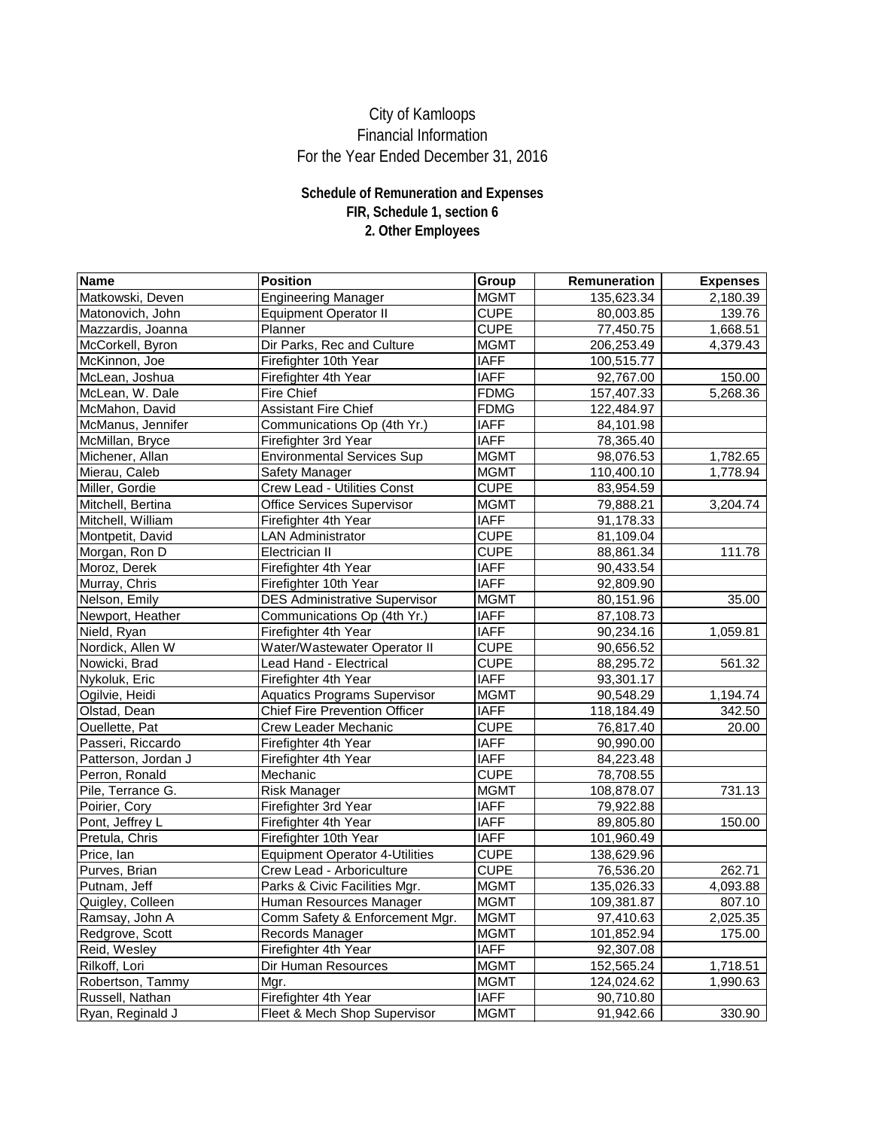| <b>Name</b>         | <b>Position</b>                         | Group       | Remuneration | <b>Expenses</b> |
|---------------------|-----------------------------------------|-------------|--------------|-----------------|
| Matkowski, Deven    | <b>Engineering Manager</b>              | <b>MGMT</b> | 135,623.34   | 2,180.39        |
| Matonovich, John    | <b>Equipment Operator II</b>            | <b>CUPE</b> | 80,003.85    | 139.76          |
| Mazzardis, Joanna   | Planner                                 | <b>CUPE</b> | 77,450.75    | 1,668.51        |
| McCorkell, Byron    | Dir Parks, Rec and Culture              | <b>MGMT</b> | 206,253.49   | 4,379.43        |
| McKinnon, Joe       | Firefighter 10th Year                   | <b>IAFF</b> | 100,515.77   |                 |
| McLean, Joshua      | Firefighter 4th Year                    | <b>IAFF</b> | 92,767.00    | 150.00          |
| McLean, W. Dale     | <b>Fire Chief</b>                       | <b>FDMG</b> | 157,407.33   | 5,268.36        |
| McMahon, David      | <b>Assistant Fire Chief</b>             | <b>FDMG</b> | 122,484.97   |                 |
| McManus, Jennifer   | Communications Op (4th Yr.)             | <b>IAFF</b> | 84,101.98    |                 |
| McMillan, Bryce     | Firefighter 3rd Year                    | <b>IAFF</b> | 78,365.40    |                 |
| Michener, Allan     | <b>Environmental Services Sup</b>       | <b>MGMT</b> | 98,076.53    | 1,782.65        |
| Mierau, Caleb       | <b>Safety Manager</b>                   | <b>MGMT</b> | 110,400.10   | 1,778.94        |
| Miller, Gordie      | <b>Crew Lead - Utilities Const</b>      | <b>CUPE</b> | 83,954.59    |                 |
| Mitchell, Bertina   | <b>Office Services Supervisor</b>       | <b>MGMT</b> | 79,888.21    | 3,204.74        |
| Mitchell, William   | Firefighter 4th Year                    | <b>IAFF</b> | 91,178.33    |                 |
| Montpetit, David    | <b>LAN Administrator</b>                | <b>CUPE</b> | 81,109.04    |                 |
| Morgan, Ron D       | <b>Electrician II</b>                   | <b>CUPE</b> | 88,861.34    | 111.78          |
| Moroz, Derek        | Firefighter 4th Year                    | <b>IAFF</b> | 90,433.54    |                 |
| Murray, Chris       | Firefighter 10th Year                   | <b>IAFF</b> | 92,809.90    |                 |
| Nelson, Emily       | <b>DES Administrative Supervisor</b>    | <b>MGMT</b> | 80,151.96    | 35.00           |
| Newport, Heather    | Communications Op (4th Yr.)             | <b>IAFF</b> | 87,108.73    |                 |
| Nield, Ryan         | Firefighter 4th Year                    | <b>IAFF</b> | 90,234.16    | 1,059.81        |
| Nordick, Allen W    | Water/Wastewater Operator II            | <b>CUPE</b> | 90,656.52    |                 |
| Nowicki, Brad       | Lead Hand - Electrical                  | <b>CUPE</b> | 88,295.72    | 561.32          |
| Nykoluk, Eric       | Firefighter 4th Year                    | <b>IAFF</b> | 93,301.17    |                 |
| Ogilvie, Heidi      | <b>Aquatics Programs Supervisor</b>     | <b>MGMT</b> | 90,548.29    | 1,194.74        |
| Olstad, Dean        | <b>Chief Fire Prevention Officer</b>    | <b>IAFF</b> | 118,184.49   | 342.50          |
| Ouellette, Pat      | <b>Crew Leader Mechanic</b>             | <b>CUPE</b> | 76,817.40    | 20.00           |
| Passeri, Riccardo   | Firefighter 4th Year                    | <b>IAFF</b> | 90,990.00    |                 |
| Patterson, Jordan J | Firefighter 4th Year                    | <b>IAFF</b> | 84,223.48    |                 |
| Perron, Ronald      | Mechanic                                | <b>CUPE</b> | 78,708.55    |                 |
| Pile, Terrance G.   | <b>Risk Manager</b>                     | <b>MGMT</b> | 108,878.07   | 731.13          |
| Poirier, Cory       | Firefighter 3rd Year                    | <b>IAFF</b> | 79,922.88    |                 |
| Pont, Jeffrey L     | Firefighter 4th Year                    | <b>IAFF</b> | 89,805.80    | 150.00          |
| Pretula, Chris      | Firefighter 10th Year                   | <b>IAFF</b> | 101,960.49   |                 |
| Price, lan          | <b>Equipment Operator 4-Utilities</b>   | <b>CUPE</b> | 138,629.96   |                 |
| Purves, Brian       | Crew Lead - Arboriculture               | <b>CUPE</b> | 76,536.20    | 262.71          |
| Putnam, Jeff        | Parks & Civic Facilities Mgr.           | <b>MGMT</b> | 135,026.33   | 4,093.88        |
| Quigley, Colleen    | Human Resources Manager                 | <b>MGMT</b> | 109,381.87   | 807.10          |
| Ramsay, John A      | Comm Safety & Enforcement Mgr.          | <b>MGMT</b> | 97,410.63    | 2,025.35        |
| Redgrove, Scott     | Records Manager                         | <b>MGMT</b> | 101,852.94   | 175.00          |
| Reid, Wesley        | Firefighter 4th Year                    | <b>IAFF</b> | 92,307.08    |                 |
| Rilkoff, Lori       | <b>Dir Human Resources</b>              | <b>MGMT</b> | 152,565.24   | 1,718.51        |
| Robertson, Tammy    | Mgr.                                    | <b>MGMT</b> | 124,024.62   | 1,990.63        |
| Russell, Nathan     | Firefighter 4th Year                    | <b>IAFF</b> | 90,710.80    |                 |
| Ryan, Reginald J    | <b>Fleet &amp; Mech Shop Supervisor</b> | <b>MGMT</b> | 91,942.66    | 330.90          |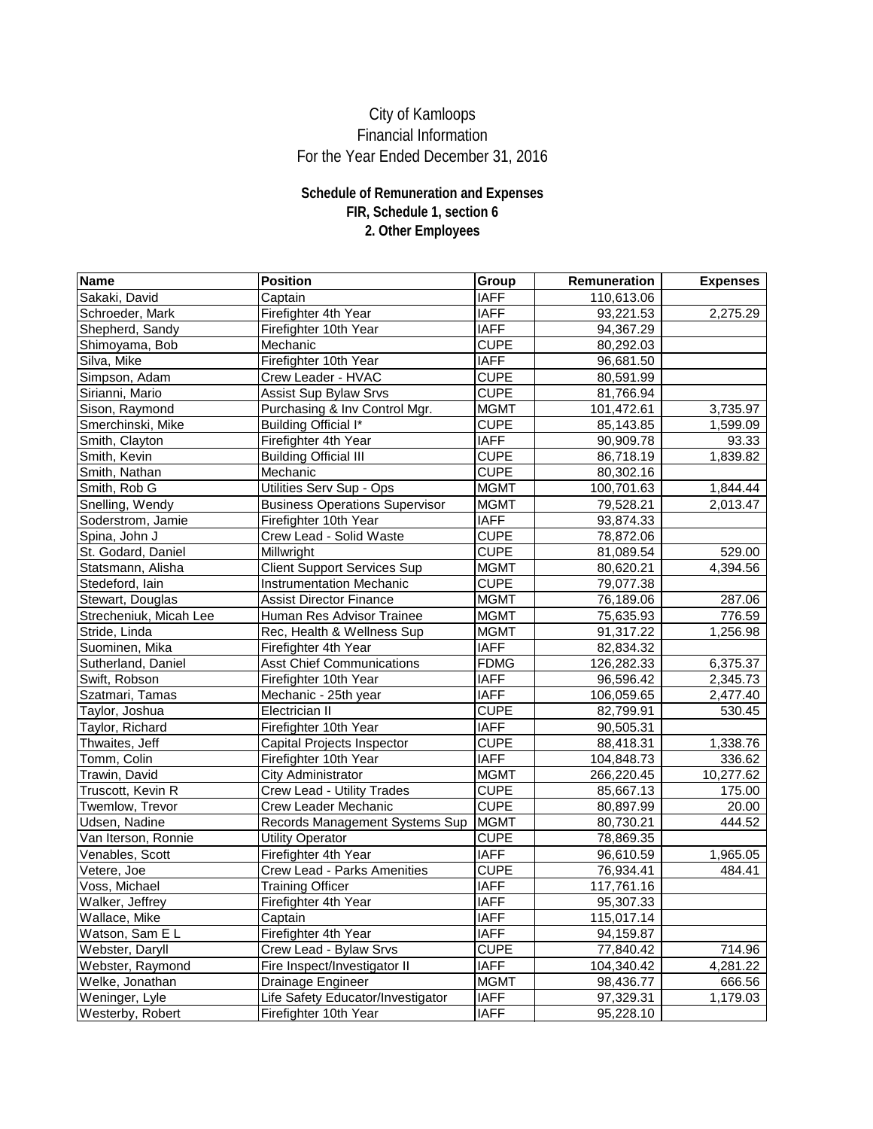| Name                   | <b>Position</b>                       | <b>Group</b> | <b>Remuneration</b> | <b>Expenses</b> |
|------------------------|---------------------------------------|--------------|---------------------|-----------------|
| Sakaki, David          | Captain                               | <b>IAFF</b>  | 110,613.06          |                 |
| Schroeder, Mark        | Firefighter 4th Year                  | <b>IAFF</b>  | 93,221.53           | 2,275.29        |
| Shepherd, Sandy        | Firefighter 10th Year                 | <b>IAFF</b>  | 94,367.29           |                 |
| Shimoyama, Bob         | Mechanic                              | <b>CUPE</b>  | 80,292.03           |                 |
| Silva, Mike            | Firefighter 10th Year                 | <b>IAFF</b>  | 96,681.50           |                 |
| Simpson, Adam          | Crew Leader - HVAC                    | <b>CUPE</b>  | 80,591.99           |                 |
| Sirianni, Mario        | <b>Assist Sup Bylaw Srvs</b>          | <b>CUPE</b>  | 81,766.94           |                 |
| Sison, Raymond         | Purchasing & Inv Control Mgr.         | <b>MGMT</b>  | 101,472.61          | 3,735.97        |
| Smerchinski, Mike      | <b>Building Official I*</b>           | <b>CUPE</b>  | 85,143.85           | 1,599.09        |
| Smith, Clayton         | Firefighter 4th Year                  | <b>IAFF</b>  | 90,909.78           | 93.33           |
| Smith, Kevin           | <b>Building Official III</b>          | <b>CUPE</b>  | 86,718.19           | 1,839.82        |
| Smith, Nathan          | Mechanic                              | <b>CUPE</b>  | 80,302.16           |                 |
| Smith, Rob G           | Utilities Serv Sup - Ops              | <b>MGMT</b>  | 100,701.63          | 1,844.44        |
| Snelling, Wendy        | <b>Business Operations Supervisor</b> | <b>MGMT</b>  | 79,528.21           | 2,013.47        |
| Soderstrom, Jamie      | Firefighter 10th Year                 | <b>IAFF</b>  | 93,874.33           |                 |
| Spina, John J          | <b>Crew Lead - Solid Waste</b>        | <b>CUPE</b>  | 78,872.06           |                 |
| St. Godard, Daniel     | Millwright                            | <b>CUPE</b>  | 81,089.54           | 529.00          |
| Statsmann, Alisha      | <b>Client Support Services Sup</b>    | <b>MGMT</b>  | 80,620.21           | 4,394.56        |
| Stedeford, Iain        | <b>Instrumentation Mechanic</b>       | <b>CUPE</b>  | 79,077.38           |                 |
| Stewart, Douglas       | <b>Assist Director Finance</b>        | <b>MGMT</b>  | 76,189.06           | 287.06          |
| Strecheniuk, Micah Lee | <b>Human Res Advisor Trainee</b>      | <b>MGMT</b>  | 75,635.93           | 776.59          |
| Stride, Linda          | Rec, Health & Wellness Sup            | <b>MGMT</b>  | 91,317.22           | 1,256.98        |
| Suominen, Mika         | Firefighter 4th Year                  | <b>IAFF</b>  | 82,834.32           |                 |
| Sutherland, Daniel     | <b>Asst Chief Communications</b>      | <b>FDMG</b>  | 126,282.33          | 6,375.37        |
| Swift, Robson          | Firefighter 10th Year                 | <b>IAFF</b>  | 96,596.42           | 2,345.73        |
| Szatmari, Tamas        | Mechanic - 25th year                  | <b>IAFF</b>  | 106,059.65          | 2,477.40        |
| Taylor, Joshua         | Electrician II                        | <b>CUPE</b>  | 82,799.91           | 530.45          |
| Taylor, Richard        | Firefighter 10th Year                 | <b>IAFF</b>  | 90,505.31           |                 |
| Thwaites, Jeff         | <b>Capital Projects Inspector</b>     | <b>CUPE</b>  | 88,418.31           | 1,338.76        |
| Tomm, Colin            | Firefighter 10th Year                 | <b>IAFF</b>  | 104,848.73          | 336.62          |
| Trawin, David          | <b>City Administrator</b>             | <b>MGMT</b>  | 266,220.45          | 10,277.62       |
| Truscott, Kevin R      | <b>Crew Lead - Utility Trades</b>     | <b>CUPE</b>  | 85,667.13           | 175.00          |
| Twemlow, Trevor        | <b>Crew Leader Mechanic</b>           | <b>CUPE</b>  | 80,897.99           | 20.00           |
| Udsen, Nadine          | Records Management Systems Sup        | <b>MGMT</b>  | 80,730.21           | 444.52          |
| Van Iterson, Ronnie    | <b>Utility Operator</b>               | <b>CUPE</b>  | 78,869.35           |                 |
| Venables, Scott        | Firefighter 4th Year                  | <b>IAFF</b>  | 96,610.59           | 1,965.05        |
| Vetere, Joe            | <b>Crew Lead - Parks Amenities</b>    | <b>CUPE</b>  | 76,934.41           | 484.41          |
| Voss, Michael          | <b>Training Officer</b>               | <b>IAFF</b>  | 117,761.16          |                 |
| Walker, Jeffrey        | Firefighter 4th Year                  | <b>IAFF</b>  | 95,307.33           |                 |
| Wallace, Mike          | Captain                               | <b>IAFF</b>  | 115,017.14          |                 |
| Watson, Sam E L        | Firefighter 4th Year                  | <b>IAFF</b>  | 94,159.87           |                 |
| Webster, Daryll        | Crew Lead - Bylaw Srvs                | <b>CUPE</b>  | 77,840.42           | 714.96          |
| Webster, Raymond       | Fire Inspect/Investigator II          | <b>IAFF</b>  | 104,340.42          | 4,281.22        |
| Welke, Jonathan        | <b>Drainage Engineer</b>              | <b>MGMT</b>  | 98,436.77           | 666.56          |
| Weninger, Lyle         | Life Safety Educator/Investigator     | <b>IAFF</b>  | 97,329.31           | 1,179.03        |
| Westerby, Robert       | Firefighter 10th Year                 | <b>IAFF</b>  | 95,228.10           |                 |